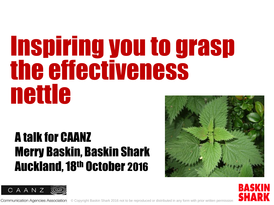# Inspiring you to grasp the effectiveness nettle

#### A talk for CAANZ Merry Baskin, Baskin Shark Auckland, 18th October 2016







**Communication Agencies Association** © Copyright Baskin Shark 2016 not to be reproduced or distributed in any form with prior written permission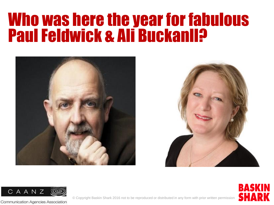#### Who was here the year for fabulous Paul Feldwick & Ali Buckanll?







**BASKIN SHARK** 

© Copyright Baskin Shark 2016 not to be reproduced or distributed in any form with prior written permission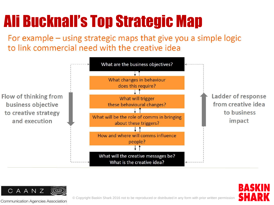#### Ali Bucknall's Top Strategic Map

For example – using strategic maps that give you a simple logic to link commercial need with the creative idea





**Communication Agencies Association** 

RAS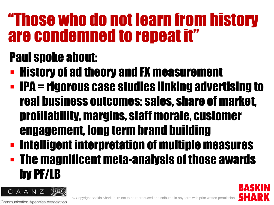#### "Those who do not learn from history are condemned to repeat it"

#### Paul spoke about:

- **History of ad theory and FX measurement**
- **IPA = rigorous case studies linking advertising to** real business outcomes: sales, share of market, profitability, margins, staff morale, customer engagement, long term brand building
- **Intelligent interpretation of multiple measures**  The magnificent meta-analysis of those awards by PF/LB

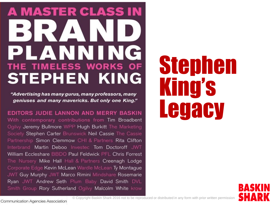#### **A MASTER CLASS IN** BIRZAIN PLANNING **HE TIMELESS WORKS OF STEPHEN KING**

"Advertising has many gurus, many professors, many geniuses and many mavericks. But only one King."

EDITORS JUDIE LANNON AND MERRY BASKIN With contemporary contributions from Tim Broadbent Ogilvy Jeremy Bullmore WPP Hugh Burkitt The Marketing Society Stephen Carter Brunswick Neil Cassie The Cassie Partnership Simon Clemmow CHI & Partners Rita Clifton Interbrand Martin Deboo Investec Tom Doctoroff JWT William Eccleshare BBDO Paul Feldwick PFL Chris Forrest The Nursery Mike Hall Hall & Partners Creenagh Lodge Corporate Edge Kevin McLean Wardle McLean Ty Montague JWT Guy Murphy JWT Marco Rimini Mindshare Rosemarie Ryan JWT Andrew Seth Plum Baby David Smith DVL Smith Group Rory Sutherland Ogilvy Malcolm White krow

# Stephen King's **Legacy**



© Copyright Baskin Shark 2016 not to be reproduced or distributed in any form with prior written permission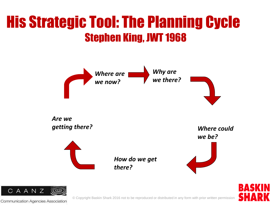#### His Strategic Tool: The Planning Cycle Stephen King, JWT 1968





**Communication Agencies Association**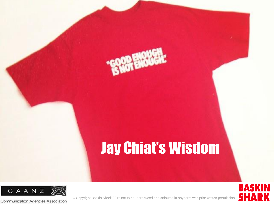#### Jay Chiat's Wisdom



Communication Agencies Association

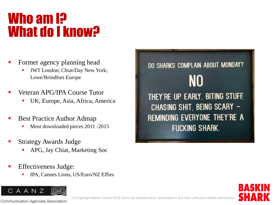#### Who am **I**P What do I know?

- Former agency planning head
	- JWT London; Chiat/Day New York; Lowe/Brindfors Europe
- Veteran APG/IPA Course Tutor
	- UK, Europe, Asia, Africa, America
- Best Practice Author Admap
	- Most downloaded pieces 2011 -2015
- Strategy Awards Judge
	- APG, Jay Chiat, Marketing Soc
- Effectiveness Judge:
	- IPA, Cannes Lions, US/Euro/NZ Effies



DO SHARKS COMPLAIN ABOUT MONDAY? NO THEY'RE UP EARLY, BITING STUFF, CHASING SHIT, BEING SCARY -REMINDING EVERYONE THEY'RE A **FUCKING SHARK.** 

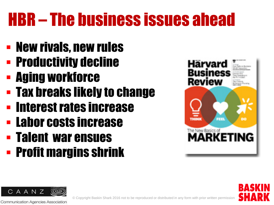## HBR – The business issues ahead

- New rivals, new rules
- **Productivity decline**
- Aging workforce
- Tax breaks likely to change
- **EXTENDER Interest rates increase**
- **Labor costs increase**
- Talent war ensues
- **Profit margins shrink**





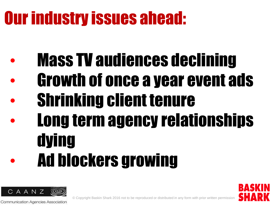## Our industry issues ahead:

- **Mass TV audiences declining**
- Growth of once a year event ads
- Shrinking client tenure
- Long term agency relationships dying • Ad blockers growing



**Communication Agencies Association**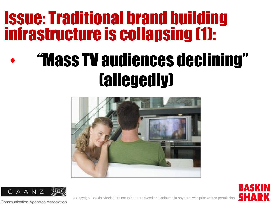#### Issue: Traditional brand building infrastructure is collapsing (1):

## • "Mass TV audiences declining" (allegedly)





**BASKIN** SHA

© Copyright Baskin Shark 2016 not to be reproduced or distributed in any form with prior written permission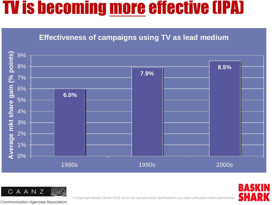#### TV is becoming more effective (IPA)

#### **Effectiveness of campaigns using TV as lead medium**





Communication Agencies Association

© Copyright Baskin Shark 2016 not to be reproduced or distributed in any form with prior written permission

BASK

SHA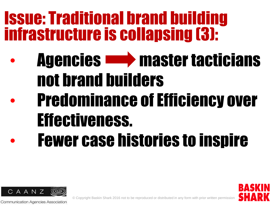#### Issue: Traditional brand building infrastructure is collapsing (3):

• Agencies master tacticians not brand builders • Predominance of Efficiency over Effectiveness. **Fewer case histories to inspire** 



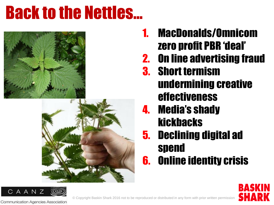#### Back to the Nettles…





- 1. MacDonalds/Omnicom zero profit PBR 'deal'
- 2. On line advertising fraud
- 3. Short termism undermining creative effectiveness
- 4. Media's shady kickbacks
- 5. Declining digital ad spend
- 6. Online identity crisis



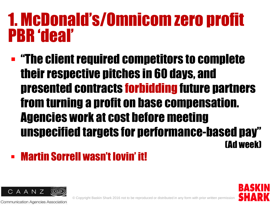#### 1. McDonald's/Omnicom zero profit PBR 'deal'

 "The client required competitors to complete their respective pitches in 60 days, and presented contracts forbidding future partners from turning a profit on base compensation. Agencies work at cost before meeting unspecified targets for performance-based pay" (Ad week)

#### **- Martin Sorrell wasn't lovin' it!**



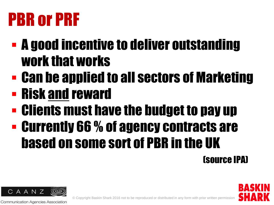### PBR or PRF

- A good incentive to deliver outstanding work that works
- Can be applied to all sectors of Marketing
- Risk and reward
- Clients must have the budget to pay up
- Currently 66 % of agency contracts are based on some sort of PBR in the UK

#### (source IPA)



**Communication Agencies Association**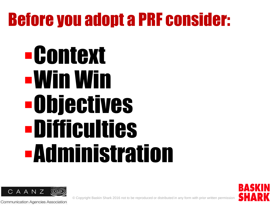#### Before you adopt a PRF consider:

# Context Win Win Objectives Difficulties Administration



**Communication Agencies Association** 

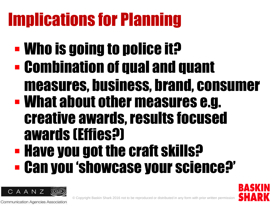## Implications for Planning

- **Who is going to police it?**
- Combination of qual and quant
	- measures, business, brand, consumer
- What about other measures e.g. creative awards, results focused awards (Effies?)
- **Have you got the craft skills?** Can you 'showcase your science?'

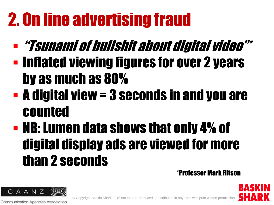## 2. On line advertising fraud

- "Tsunami of bullshit about digital video"\* **- Inflated viewing figures for over 2 years** by as much as 80%
- A digital view = 3 seconds in and you are counted
- NB: Lumen data shows that only 4% of digital display ads are viewed for more than 2 seconds

\*Professor Mark Ritson



**Communication Agencies Association**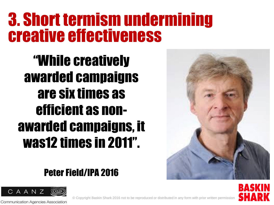#### 3. Short termism undermining creative effectiveness

"While creatively awarded campaigns are six times as efficient as nonawarded campaigns, it was12 times in 2011".

#### Peter Field/IPA 2016



**Communication Agencies Association** 



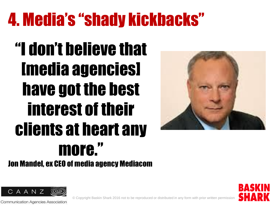### 4. Media's "shady kickbacks"

## "I don't believe that [media agencies] have got the best interest of their clients at heart any more."



**BASKI** 

SHA

Jon Mandel, ex CEO of media agency Mediacom



**Communication Agencies Association**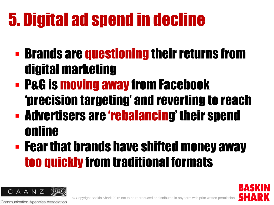## 5. Digital ad spend in decline

- **Brands are questioning their returns from** digital marketing
- P&G is moving away from Facebook 'precision targeting' and reverting to reach
- Advertisers are 'rebalancing' their spend online
- **Fear that brands have shifted money away** too quickly from traditional formats



**Communication Agencies Association**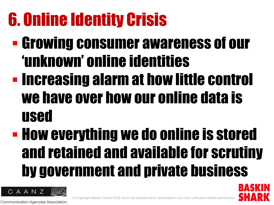## 6. Online Identity Crisis

- Growing consumer awareness of our 'unknown' online identities **- Increasing alarm at how little control** we have over how our online data is used
- **How everything we do online is stored** and retained and available for scrutiny by government and private business

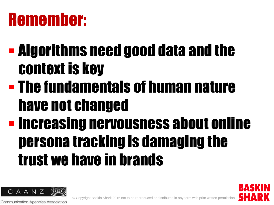#### Remember:

- Algorithms need good data and the context is key
- The fundamentals of human nature have not changed
- **Increasing nervousness about online** persona tracking is damaging the trust we have in brands



**Communication Agencies Association**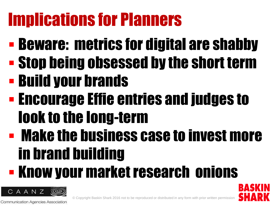## Implications for Planners

- **Beware: metrics for digital are shabby**
- Stop being obsessed by the short term
- Build your brands
- **Encourage Effie entries and judges to** look to the long-term
- Make the business case to invest more in brand building

## Know your market research onions

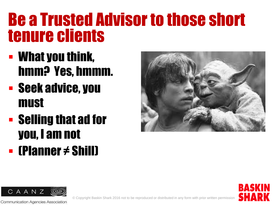#### Be a Trusted Advisor to those short tenure clients

- What you think, hmm? Yes, hmmm.
- Seek advice, you must
- **Selling that ad for** you, I am not (Planner ≠ Shill)





**Communication Agencies Association** 

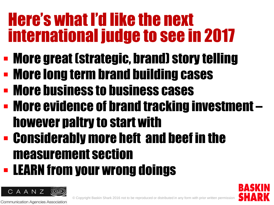#### Here's what I'd like the next international judge to see in 2017

- More great (strategic, brand) story telling
- More long term brand building cases
- **More business to business cases**
- More evidence of brand tracking investment however paltry to start with
- Considerably more heft and beef in the measurement section
- **LEARN from your wrong doings**



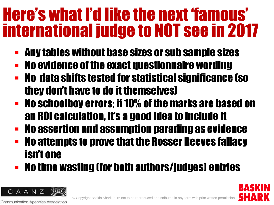#### Here's what I'd like the next 'famous' international judge to NOT see in 2017

- Any tables without base sizes or sub sample sizes
- No evidence of the exact questionnaire wording
- No data shifts tested for statistical significance (so they don't have to do it themselves)
- No schoolboy errors; if 10% of the marks are based on an ROI calculation, it's a good idea to include it
- No assertion and assumption parading as evidence
- **No attempts to prove that the Rosser Reeves fallacy** isn't one
- **No time wasting (for both authors/judges) entries**

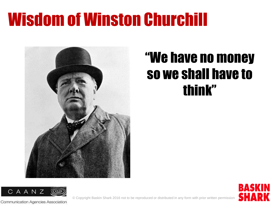#### Wisdom of Winston Churchill



#### "We have no money so we shall have to think"





© Copyright Baskin Shark 2016 not to be reproduced or distributed in any form with prior written permission